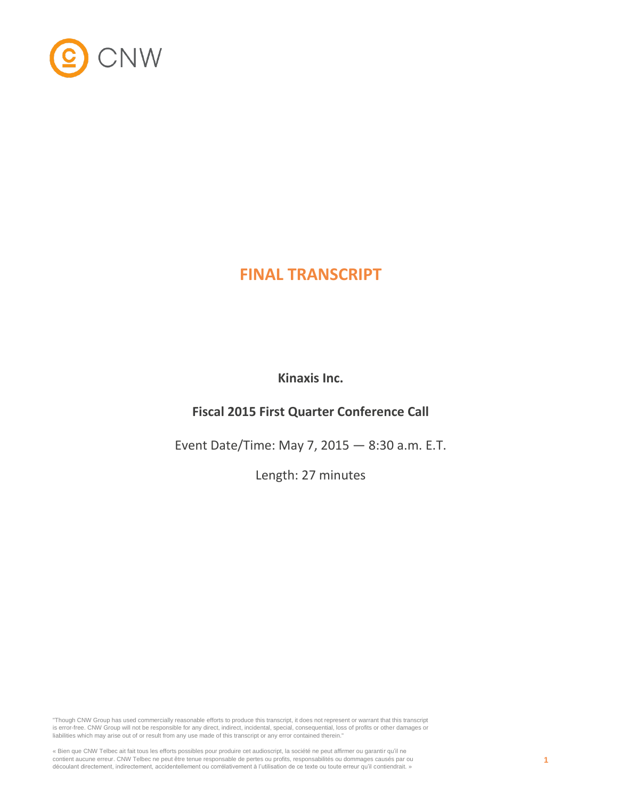

# **FINAL TRANSCRIPT**

**Kinaxis Inc.**

## **Fiscal 2015 First Quarter Conference Call**

Event Date/Time: May 7, 2015 — 8:30 a.m. E.T.

Length: 27 minutes

"Though CNW Group has used commercially reasonable efforts to produce this transcript, it does not represent or warrant that this transcript is error-free. CNW Group will not be responsible for any direct, indirect, incidental, special, consequential, loss of profits or other damages or liabilities which may arise out of or result from any use made of this transcript or any error contained therein."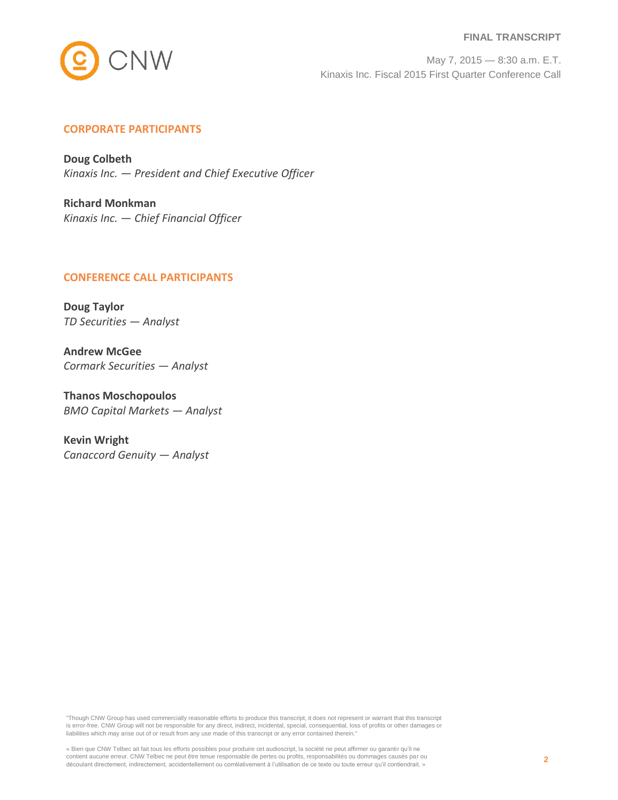

#### **FINAL TRANSCRIPT**

May 7, 2015 — 8:30 a.m. E.T. Kinaxis Inc. Fiscal 2015 First Quarter Conference Call

## **CORPORATE PARTICIPANTS**

**Doug Colbeth** *Kinaxis Inc. — President and Chief Executive Officer*

**Richard Monkman** *Kinaxis Inc. — Chief Financial Officer*

## **CONFERENCE CALL PARTICIPANTS**

**Doug Taylor** *TD Securities — Analyst*

**Andrew McGee** *Cormark Securities — Analyst*

**Thanos Moschopoulos** *BMO Capital Markets — Analyst*

**Kevin Wright** *Canaccord Genuity — Analyst*

"Though CNW Group has used commercially reasonable efforts to produce this transcript, it does not represent or warrant that this transcript is error-free. CNW Group will not be responsible for any direct, indirect, incidental, special, consequential, loss of profits or other damages or liabilities which may arise out of or result from any use made of this transcript or any error contained therein."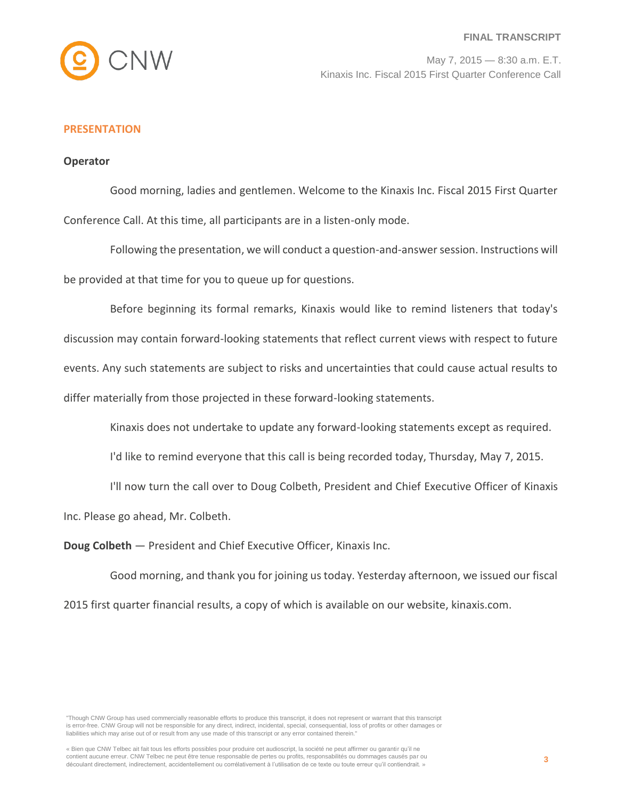

## **PRESENTATION**

## **Operator**

Good morning, ladies and gentlemen. Welcome to the Kinaxis Inc. Fiscal 2015 First Quarter Conference Call. At this time, all participants are in a listen-only mode.

Following the presentation, we will conduct a question-and-answer session. Instructions will be provided at that time for you to queue up for questions.

Before beginning its formal remarks, Kinaxis would like to remind listeners that today's discussion may contain forward-looking statements that reflect current views with respect to future events. Any such statements are subject to risks and uncertainties that could cause actual results to differ materially from those projected in these forward-looking statements.

Kinaxis does not undertake to update any forward-looking statements except as required.

I'd like to remind everyone that this call is being recorded today, Thursday, May 7, 2015.

I'll now turn the call over to Doug Colbeth, President and Chief Executive Officer of Kinaxis Inc. Please go ahead, Mr. Colbeth.

**Doug Colbeth** — President and Chief Executive Officer, Kinaxis Inc.

Good morning, and thank you for joining us today. Yesterday afternoon, we issued our fiscal 2015 first quarter financial results, a copy of which is available on our website, kinaxis.com.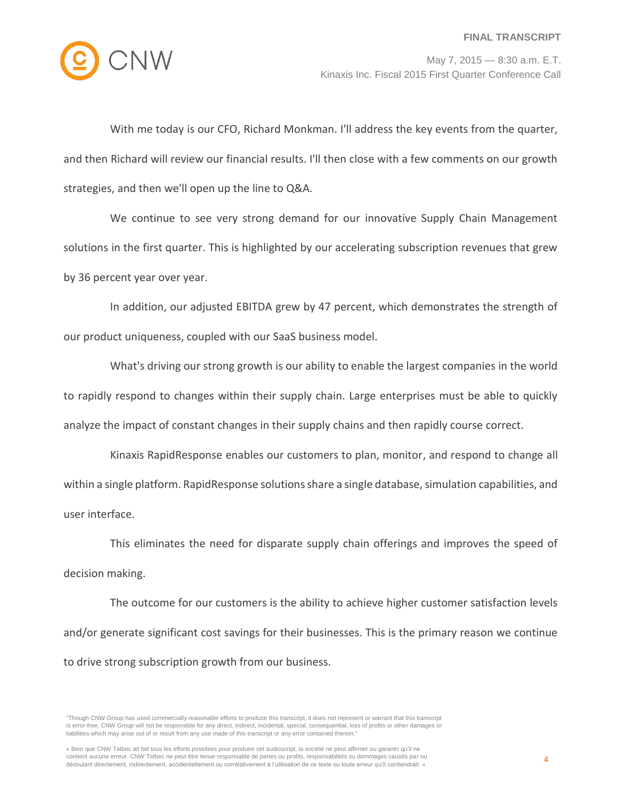

With me today is our CFO, Richard Monkman. I'll address the key events from the quarter, and then Richard will review our financial results. I'll then close with a few comments on our growth strategies, and then we'll open up the line to Q&A.

We continue to see very strong demand for our innovative Supply Chain Management solutions in the first quarter. This is highlighted by our accelerating subscription revenues that grew by 36 percent year over year.

In addition, our adjusted EBITDA grew by 47 percent, which demonstrates the strength of our product uniqueness, coupled with our SaaS business model.

What's driving our strong growth is our ability to enable the largest companies in the world to rapidly respond to changes within their supply chain. Large enterprises must be able to quickly analyze the impact of constant changes in their supply chains and then rapidly course correct.

Kinaxis RapidResponse enables our customers to plan, monitor, and respond to change all within a single platform. RapidResponse solutions share a single database, simulation capabilities, and user interface.

This eliminates the need for disparate supply chain offerings and improves the speed of decision making.

The outcome for our customers is the ability to achieve higher customer satisfaction levels and/or generate significant cost savings for their businesses. This is the primary reason we continue to drive strong subscription growth from our business.

<sup>&</sup>quot;Though CNW Group has used commercially reasonable efforts to produce this transcript, it does not represent or warrant that this transcript is error-free. CNW Group will not be responsible for any direct, indirect, incidental, special, consequential, loss of profits or other damages or liabilities which may arise out of or result from any use made of this transcript or any error contained therein."

<sup>«</sup> Bien que CNW Telbec ait fait tous les efforts possibles pour produire cet audioscript, la société ne peut affirmer ou garantir qu'il ne contient aucune erreur. CNW Telbec ne peut être tenue responsable de pertes ou profits, responsabilités ou dommages causés par ou découlant directement, indirectement, accidentellement ou corrélativement à l'utilisation de ce texte ou toute erreur qu'il contiendrait. »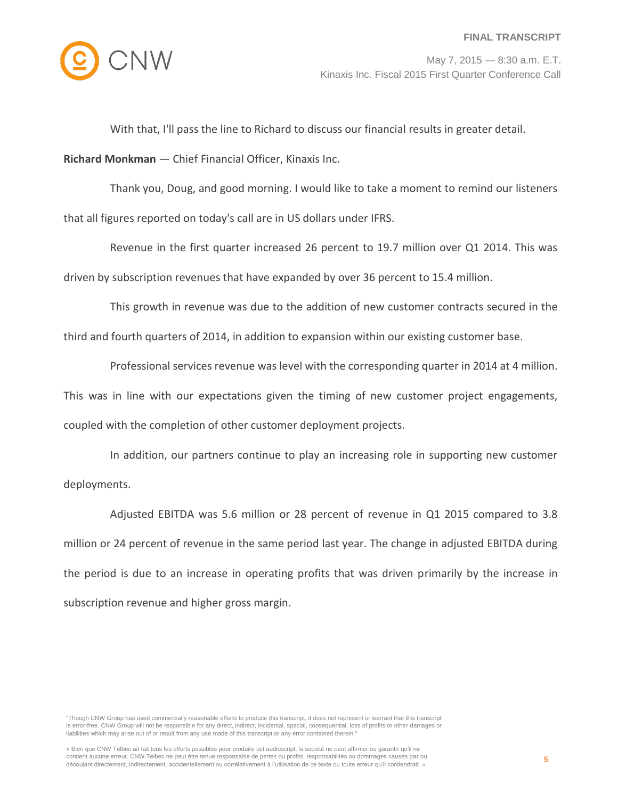

With that, I'll pass the line to Richard to discuss our financial results in greater detail.

**Richard Monkman** — Chief Financial Officer, Kinaxis Inc.

Thank you, Doug, and good morning. I would like to take a moment to remind our listeners that all figures reported on today's call are in US dollars under IFRS.

Revenue in the first quarter increased 26 percent to 19.7 million over Q1 2014. This was driven by subscription revenues that have expanded by over 36 percent to 15.4 million.

This growth in revenue was due to the addition of new customer contracts secured in the third and fourth quarters of 2014, in addition to expansion within our existing customer base.

Professional services revenue was level with the corresponding quarter in 2014 at 4 million. This was in line with our expectations given the timing of new customer project engagements, coupled with the completion of other customer deployment projects.

In addition, our partners continue to play an increasing role in supporting new customer deployments.

Adjusted EBITDA was 5.6 million or 28 percent of revenue in Q1 2015 compared to 3.8 million or 24 percent of revenue in the same period last year. The change in adjusted EBITDA during the period is due to an increase in operating profits that was driven primarily by the increase in subscription revenue and higher gross margin.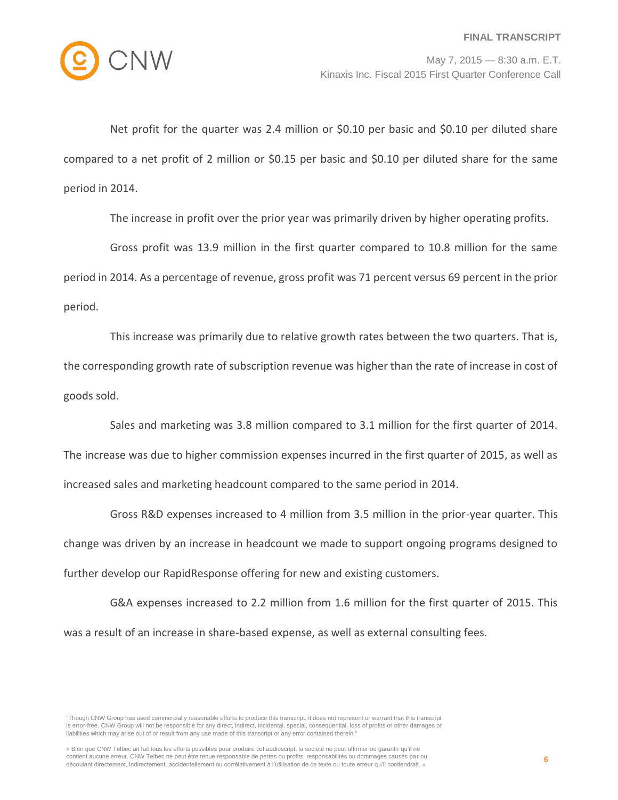

Net profit for the quarter was 2.4 million or \$0.10 per basic and \$0.10 per diluted share compared to a net profit of 2 million or \$0.15 per basic and \$0.10 per diluted share for the same period in 2014.

The increase in profit over the prior year was primarily driven by higher operating profits.

Gross profit was 13.9 million in the first quarter compared to 10.8 million for the same period in 2014. As a percentage of revenue, gross profit was 71 percent versus 69 percent in the prior period.

This increase was primarily due to relative growth rates between the two quarters. That is, the corresponding growth rate of subscription revenue was higher than the rate of increase in cost of goods sold.

Sales and marketing was 3.8 million compared to 3.1 million for the first quarter of 2014. The increase was due to higher commission expenses incurred in the first quarter of 2015, as well as increased sales and marketing headcount compared to the same period in 2014.

Gross R&D expenses increased to 4 million from 3.5 million in the prior-year quarter. This change was driven by an increase in headcount we made to support ongoing programs designed to further develop our RapidResponse offering for new and existing customers.

G&A expenses increased to 2.2 million from 1.6 million for the first quarter of 2015. This was a result of an increase in share-based expense, as well as external consulting fees.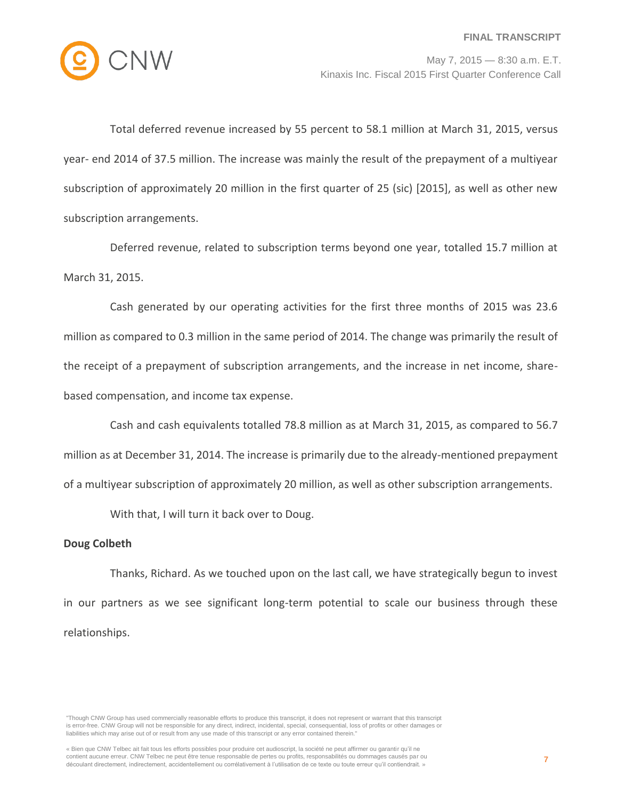

Total deferred revenue increased by 55 percent to 58.1 million at March 31, 2015, versus year- end 2014 of 37.5 million. The increase was mainly the result of the prepayment of a multiyear subscription of approximately 20 million in the first quarter of 25 (sic) [2015], as well as other new subscription arrangements.

Deferred revenue, related to subscription terms beyond one year, totalled 15.7 million at March 31, 2015.

Cash generated by our operating activities for the first three months of 2015 was 23.6 million as compared to 0.3 million in the same period of 2014. The change was primarily the result of the receipt of a prepayment of subscription arrangements, and the increase in net income, sharebased compensation, and income tax expense.

Cash and cash equivalents totalled 78.8 million as at March 31, 2015, as compared to 56.7 million as at December 31, 2014. The increase is primarily due to the already-mentioned prepayment of a multiyear subscription of approximately 20 million, as well as other subscription arrangements.

With that, I will turn it back over to Doug.

## **Doug Colbeth**

Thanks, Richard. As we touched upon on the last call, we have strategically begun to invest in our partners as we see significant long-term potential to scale our business through these relationships.

<sup>&</sup>quot;Though CNW Group has used commercially reasonable efforts to produce this transcript, it does not represent or warrant that this transcript is error-free. CNW Group will not be responsible for any direct, indirect, incidental, special, consequential, loss of profits or other damages or liabilities which may arise out of or result from any use made of this transcript or any error contained therein."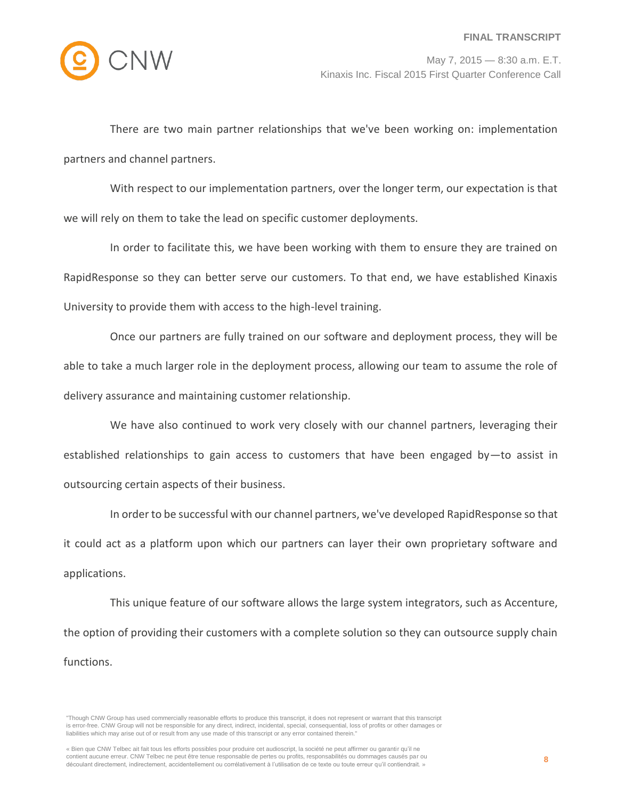

There are two main partner relationships that we've been working on: implementation partners and channel partners.

With respect to our implementation partners, over the longer term, our expectation is that we will rely on them to take the lead on specific customer deployments.

In order to facilitate this, we have been working with them to ensure they are trained on RapidResponse so they can better serve our customers. To that end, we have established Kinaxis University to provide them with access to the high-level training.

Once our partners are fully trained on our software and deployment process, they will be able to take a much larger role in the deployment process, allowing our team to assume the role of delivery assurance and maintaining customer relationship.

We have also continued to work very closely with our channel partners, leveraging their established relationships to gain access to customers that have been engaged by-to assist in outsourcing certain aspects of their business.

In order to be successful with our channel partners, we've developed RapidResponse so that it could act as a platform upon which our partners can layer their own proprietary software and applications.

This unique feature of our software allows the large system integrators, such as Accenture, the option of providing their customers with a complete solution so they can outsource supply chain functions.

<sup>&</sup>quot;Though CNW Group has used commercially reasonable efforts to produce this transcript, it does not represent or warrant that this transcript is error-free. CNW Group will not be responsible for any direct, indirect, incidental, special, consequential, loss of profits or other damages or liabilities which may arise out of or result from any use made of this transcript or any error contained therein."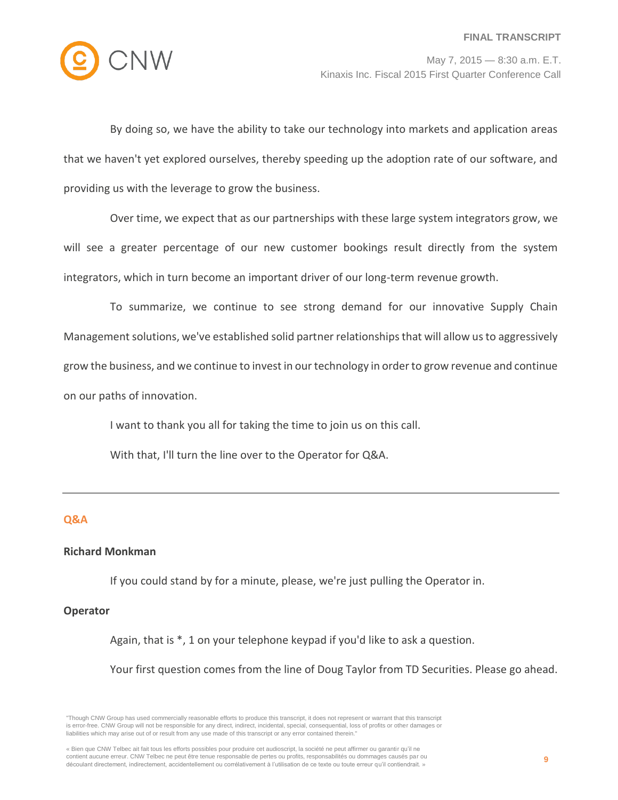

By doing so, we have the ability to take our technology into markets and application areas that we haven't yet explored ourselves, thereby speeding up the adoption rate of our software, and providing us with the leverage to grow the business.

Over time, we expect that as our partnerships with these large system integrators grow, we will see a greater percentage of our new customer bookings result directly from the system integrators, which in turn become an important driver of our long-term revenue growth.

To summarize, we continue to see strong demand for our innovative Supply Chain Management solutions, we've established solid partner relationships that will allow us to aggressively grow the business, and we continue to invest in our technology in order to grow revenue and continue on our paths of innovation.

I want to thank you all for taking the time to join us on this call.

With that, I'll turn the line over to the Operator for Q&A.

## **Q&A**

## **Richard Monkman**

If you could stand by for a minute, please, we're just pulling the Operator in.

## **Operator**

Again, that is \*, 1 on your telephone keypad if you'd like to ask a question.

Your first question comes from the line of Doug Taylor from TD Securities. Please go ahead.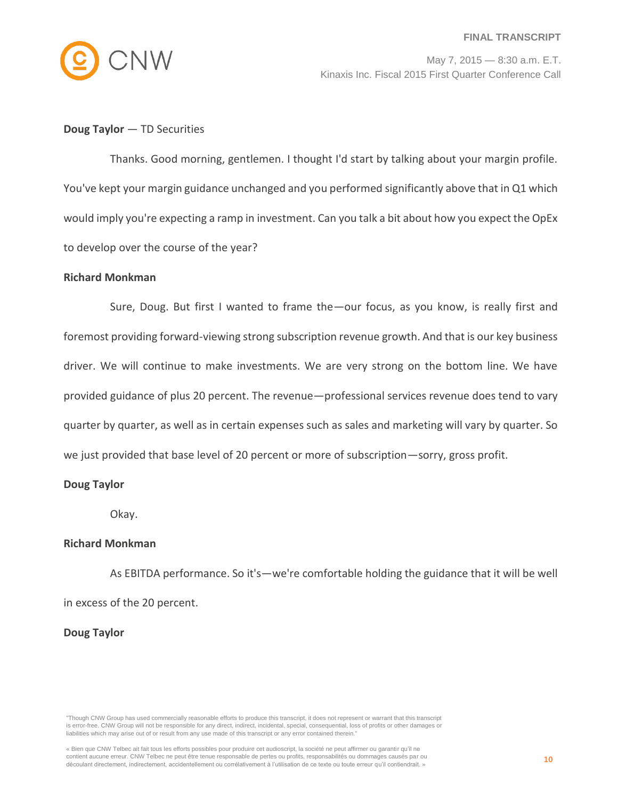

## **Doug Taylor** — TD Securities

Thanks. Good morning, gentlemen. I thought I'd start by talking about your margin profile. You've kept your margin guidance unchanged and you performed significantly above that in Q1 which would imply you're expecting a ramp in investment. Can you talk a bit about how you expect the OpEx to develop over the course of the year?

## **Richard Monkman**

Sure, Doug. But first I wanted to frame the—our focus, as you know, is really first and foremost providing forward-viewing strong subscription revenue growth. And that is our key business driver. We will continue to make investments. We are very strong on the bottom line. We have provided guidance of plus 20 percent. The revenue—professional services revenue does tend to vary quarter by quarter, as well as in certain expenses such as sales and marketing will vary by quarter. So we just provided that base level of 20 percent or more of subscription—sorry, gross profit.

## **Doug Taylor**

Okay.

## **Richard Monkman**

As EBITDA performance. So it's—we're comfortable holding the guidance that it will be well in excess of the 20 percent.

## **Doug Taylor**

<sup>&</sup>quot;Though CNW Group has used commercially reasonable efforts to produce this transcript, it does not represent or warrant that this transcript is error-free. CNW Group will not be responsible for any direct, indirect, incidental, special, consequential, loss of profits or other damages or liabilities which may arise out of or result from any use made of this transcript or any error contained therein."

<sup>«</sup> Bien que CNW Telbec ait fait tous les efforts possibles pour produire cet audioscript, la société ne peut affirmer ou garantir qu'il ne contient aucune erreur. CNW Telbec ne peut être tenue responsable de pertes ou profits, responsabilités ou dommages causés par ou découlant directement, indirectement, accidentellement ou corrélativement à l'utilisation de ce texte ou toute erreur qu'il contiendrait. »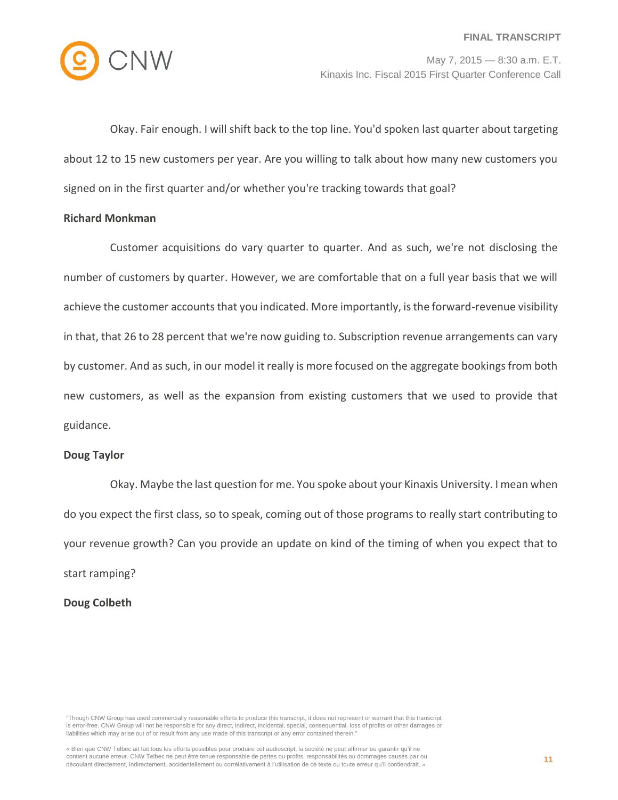

Okay. Fair enough. I will shift back to the top line. You'd spoken last quarter about targeting about 12 to 15 new customers per year. Are you willing to talk about how many new customers you signed on in the first quarter and/or whether you're tracking towards that goal?

## **Richard Monkman**

Customer acquisitions do vary quarter to quarter. And as such, we're not disclosing the number of customers by quarter. However, we are comfortable that on a full year basis that we will achieve the customer accounts that you indicated. More importantly, is the forward-revenue visibility in that, that 26 to 28 percent that we're now guiding to. Subscription revenue arrangements can vary by customer. And as such, in our model it really is more focused on the aggregate bookings from both new customers, as well as the expansion from existing customers that we used to provide that guidance.

#### **Doug Taylor**

Okay. Maybe the last question for me. You spoke about your Kinaxis University. I mean when do you expect the first class, so to speak, coming out of those programs to really start contributing to your revenue growth? Can you provide an update on kind of the timing of when you expect that to start ramping?

## **Doug Colbeth**

<sup>&</sup>quot;Though CNW Group has used commercially reasonable efforts to produce this transcript, it does not represent or warrant that this transcript is error-free. CNW Group will not be responsible for any direct, indirect, incidental, special, consequential, loss of profits or other damages or liabilities which may arise out of or result from any use made of this transcript or any error contained therein."

<sup>«</sup> Bien que CNW Telbec ait fait tous les efforts possibles pour produire cet audioscript, la société ne peut affirmer ou garantir qu'il ne contient aucune erreur. CNW Telbec ne peut être tenue responsable de pertes ou profits, responsabilités ou dommages causés par ou découlant directement, indirectement, accidentellement ou corrélativement à l'utilisation de ce texte ou toute erreur qu'il contiendrait. »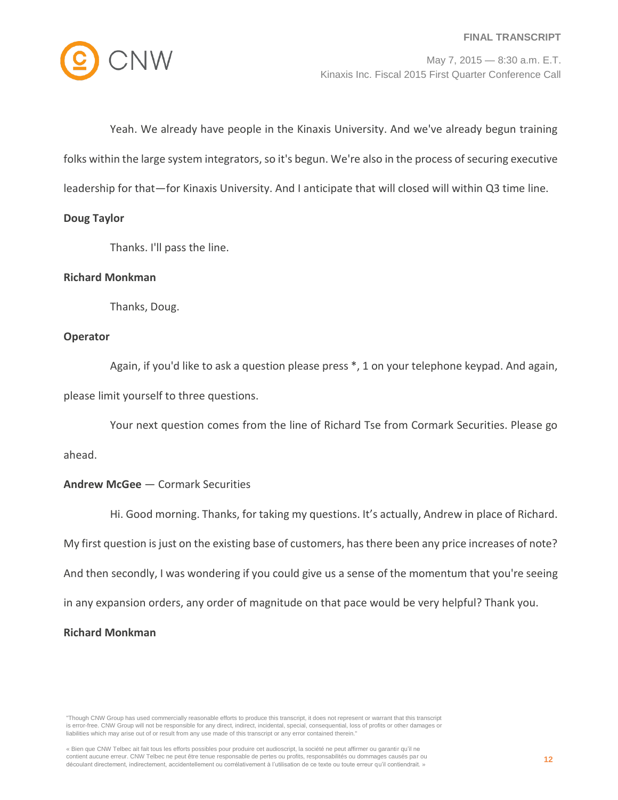

Yeah. We already have people in the Kinaxis University. And we've already begun training folks within the large system integrators, so it's begun. We're also in the process of securing executive leadership for that—for Kinaxis University. And I anticipate that will closed will within Q3 time line.

## **Doug Taylor**

Thanks. I'll pass the line.

## **Richard Monkman**

Thanks, Doug.

## **Operator**

Again, if you'd like to ask a question please press \*, 1 on your telephone keypad. And again, please limit yourself to three questions.

Your next question comes from the line of Richard Tse from Cormark Securities. Please go ahead.

## **Andrew McGee** — Cormark Securities

Hi. Good morning. Thanks, for taking my questions. It's actually, Andrew in place of Richard. My first question is just on the existing base of customers, has there been any price increases of note? And then secondly, I was wondering if you could give us a sense of the momentum that you're seeing in any expansion orders, any order of magnitude on that pace would be very helpful? Thank you.

## **Richard Monkman**

"Though CNW Group has used commercially reasonable efforts to produce this transcript, it does not represent or warrant that this transcript is error-free. CNW Group will not be responsible for any direct, indirect, incidental, special, consequential, loss of profits or other damages or liabilities which may arise out of or result from any use made of this transcript or any error contained therein."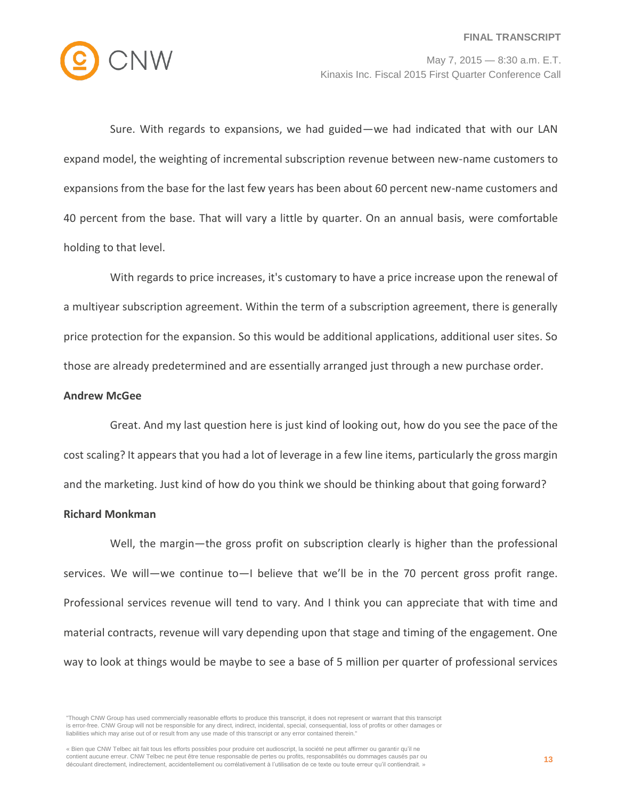

Sure. With regards to expansions, we had guided—we had indicated that with our LAN expand model, the weighting of incremental subscription revenue between new-name customers to expansions from the base for the last few years has been about 60 percent new-name customers and 40 percent from the base. That will vary a little by quarter. On an annual basis, were comfortable holding to that level.

With regards to price increases, it's customary to have a price increase upon the renewal of a multiyear subscription agreement. Within the term of a subscription agreement, there is generally price protection for the expansion. So this would be additional applications, additional user sites. So those are already predetermined and are essentially arranged just through a new purchase order.

#### **Andrew McGee**

Great. And my last question here is just kind of looking out, how do you see the pace of the cost scaling? It appears that you had a lot of leverage in a few line items, particularly the gross margin and the marketing. Just kind of how do you think we should be thinking about that going forward?

## **Richard Monkman**

Well, the margin—the gross profit on subscription clearly is higher than the professional services. We will—we continue to—I believe that we'll be in the 70 percent gross profit range. Professional services revenue will tend to vary. And I think you can appreciate that with time and material contracts, revenue will vary depending upon that stage and timing of the engagement. One way to look at things would be maybe to see a base of 5 million per quarter of professional services

<sup>&</sup>quot;Though CNW Group has used commercially reasonable efforts to produce this transcript, it does not represent or warrant that this transcript is error-free. CNW Group will not be responsible for any direct, indirect, incidental, special, consequential, loss of profits or other damages or liabilities which may arise out of or result from any use made of this transcript or any error contained therein."

<sup>«</sup> Bien que CNW Telbec ait fait tous les efforts possibles pour produire cet audioscript, la société ne peut affirmer ou garantir qu'il ne contient aucune erreur. CNW Telbec ne peut être tenue responsable de pertes ou profits, responsabilités ou dommages causés par ou découlant directement, indirectement, accidentellement ou corrélativement à l'utilisation de ce texte ou toute erreur qu'il contiendrait. »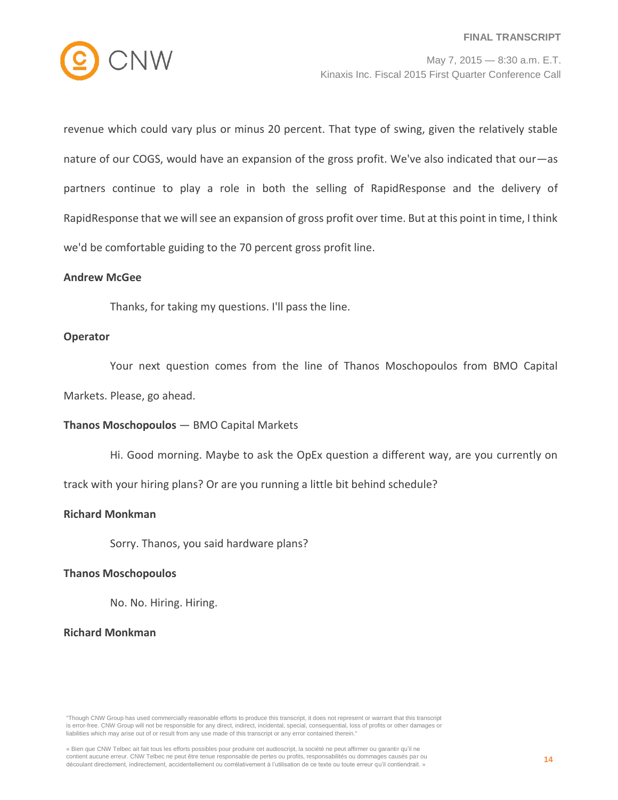

revenue which could vary plus or minus 20 percent. That type of swing, given the relatively stable nature of our COGS, would have an expansion of the gross profit. We've also indicated that our—as partners continue to play a role in both the selling of RapidResponse and the delivery of RapidResponse that we will see an expansion of gross profit over time. But at this point in time, I think we'd be comfortable guiding to the 70 percent gross profit line.

#### **Andrew McGee**

Thanks, for taking my questions. I'll pass the line.

#### **Operator**

Your next question comes from the line of Thanos Moschopoulos from BMO Capital

Markets. Please, go ahead.

## **Thanos Moschopoulos** — BMO Capital Markets

Hi. Good morning. Maybe to ask the OpEx question a different way, are you currently on

track with your hiring plans? Or are you running a little bit behind schedule?

## **Richard Monkman**

Sorry. Thanos, you said hardware plans?

#### **Thanos Moschopoulos**

No. No. Hiring. Hiring.

## **Richard Monkman**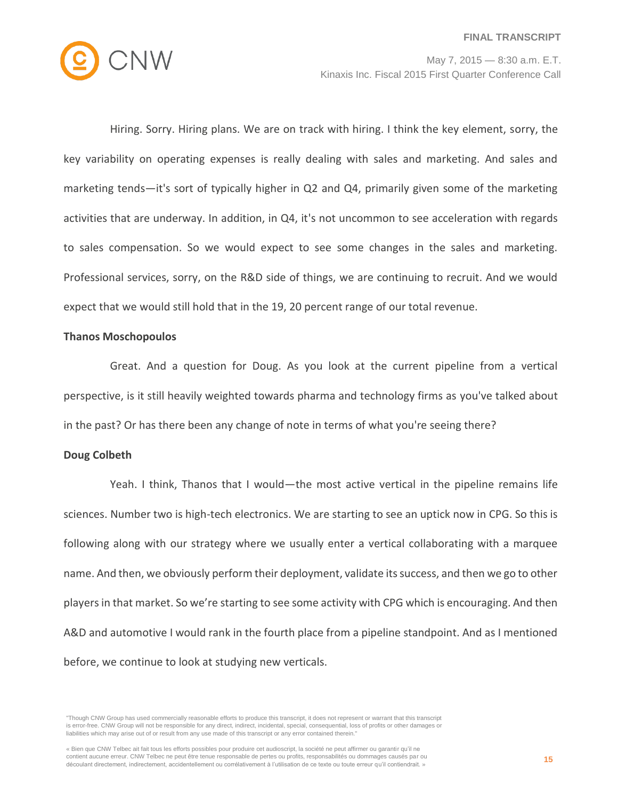

Hiring. Sorry. Hiring plans. We are on track with hiring. I think the key element, sorry, the key variability on operating expenses is really dealing with sales and marketing. And sales and marketing tends—it's sort of typically higher in Q2 and Q4, primarily given some of the marketing activities that are underway. In addition, in Q4, it's not uncommon to see acceleration with regards to sales compensation. So we would expect to see some changes in the sales and marketing. Professional services, sorry, on the R&D side of things, we are continuing to recruit. And we would expect that we would still hold that in the 19, 20 percent range of our total revenue.

## **Thanos Moschopoulos**

Great. And a question for Doug. As you look at the current pipeline from a vertical perspective, is it still heavily weighted towards pharma and technology firms as you've talked about in the past? Or has there been any change of note in terms of what you're seeing there?

#### **Doug Colbeth**

Yeah. I think, Thanos that I would—the most active vertical in the pipeline remains life sciences. Number two is high-tech electronics. We are starting to see an uptick now in CPG. So this is following along with our strategy where we usually enter a vertical collaborating with a marquee name. And then, we obviously perform their deployment, validate its success, and then we go to other players in that market. So we're starting to see some activity with CPG which is encouraging. And then A&D and automotive I would rank in the fourth place from a pipeline standpoint. And as I mentioned before, we continue to look at studying new verticals.

"Though CNW Group has used commercially reasonable efforts to produce this transcript, it does not represent or warrant that this transcript is error-free. CNW Group will not be responsible for any direct, indirect, incidental, special, consequential, loss of profits or other damages or liabilities which may arise out of or result from any use made of this transcript or any error contained therein."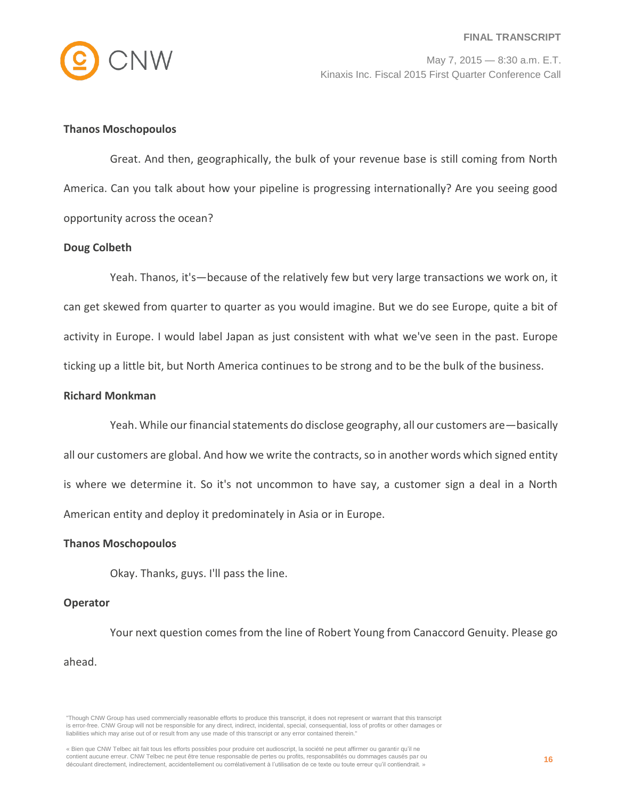

## **Thanos Moschopoulos**

Great. And then, geographically, the bulk of your revenue base is still coming from North America. Can you talk about how your pipeline is progressing internationally? Are you seeing good opportunity across the ocean?

#### **Doug Colbeth**

Yeah. Thanos, it's—because of the relatively few but very large transactions we work on, it can get skewed from quarter to quarter as you would imagine. But we do see Europe, quite a bit of activity in Europe. I would label Japan as just consistent with what we've seen in the past. Europe ticking up a little bit, but North America continues to be strong and to be the bulk of the business.

## **Richard Monkman**

Yeah. While our financial statements do disclose geography, all our customers are—basically all our customers are global. And how we write the contracts, so in another words which signed entity is where we determine it. So it's not uncommon to have say, a customer sign a deal in a North American entity and deploy it predominately in Asia or in Europe.

#### **Thanos Moschopoulos**

Okay. Thanks, guys. I'll pass the line.

#### **Operator**

Your next question comes from the line of Robert Young from Canaccord Genuity. Please go ahead.

<sup>&</sup>quot;Though CNW Group has used commercially reasonable efforts to produce this transcript, it does not represent or warrant that this transcript is error-free. CNW Group will not be responsible for any direct, indirect, incidental, special, consequential, loss of profits or other damages or liabilities which may arise out of or result from any use made of this transcript or any error contained therein."

<sup>«</sup> Bien que CNW Telbec ait fait tous les efforts possibles pour produire cet audioscript, la société ne peut affirmer ou garantir qu'il ne contient aucune erreur. CNW Telbec ne peut être tenue responsable de pertes ou profits, responsabilités ou dommages causés par ou découlant directement, indirectement, accidentellement ou corrélativement à l'utilisation de ce texte ou toute erreur qu'il contiendrait. »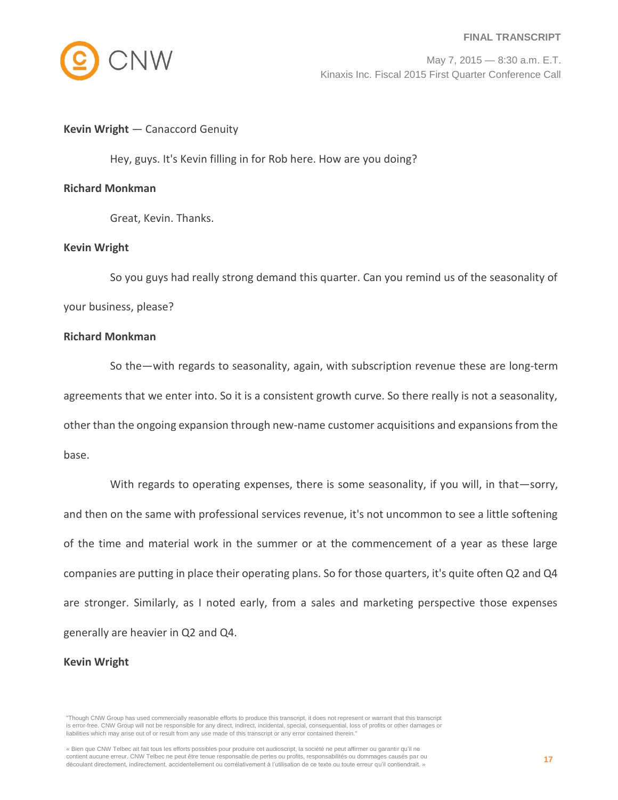#### **FINAL TRANSCRIPT**



May 7, 2015 — 8:30 a.m. E.T. Kinaxis Inc. Fiscal 2015 First Quarter Conference Call

## **Kevin Wright** — Canaccord Genuity

Hey, guys. It's Kevin filling in for Rob here. How are you doing?

## **Richard Monkman**

Great, Kevin. Thanks.

## **Kevin Wright**

So you guys had really strong demand this quarter. Can you remind us of the seasonality of your business, please?

## **Richard Monkman**

So the—with regards to seasonality, again, with subscription revenue these are long-term agreements that we enter into. So it is a consistent growth curve. So there really is not a seasonality, other than the ongoing expansion through new-name customer acquisitions and expansions from the base.

With regards to operating expenses, there is some seasonality, if you will, in that—sorry, and then on the same with professional services revenue, it's not uncommon to see a little softening of the time and material work in the summer or at the commencement of a year as these large companies are putting in place their operating plans. So for those quarters, it's quite often Q2 and Q4 are stronger. Similarly, as I noted early, from a sales and marketing perspective those expenses generally are heavier in Q2 and Q4.

#### **Kevin Wright**

<sup>&</sup>quot;Though CNW Group has used commercially reasonable efforts to produce this transcript, it does not represent or warrant that this transcript is error-free. CNW Group will not be responsible for any direct, indirect, incidental, special, consequential, loss of profits or other damages or liabilities which may arise out of or result from any use made of this transcript or any error contained therein."

<sup>«</sup> Bien que CNW Telbec ait fait tous les efforts possibles pour produire cet audioscript, la société ne peut affirmer ou garantir qu'il ne contient aucune erreur. CNW Telbec ne peut être tenue responsable de pertes ou profits, responsabilités ou dommages causés par ou découlant directement, indirectement, accidentellement ou corrélativement à l'utilisation de ce texte ou toute erreur qu'il contiendrait. »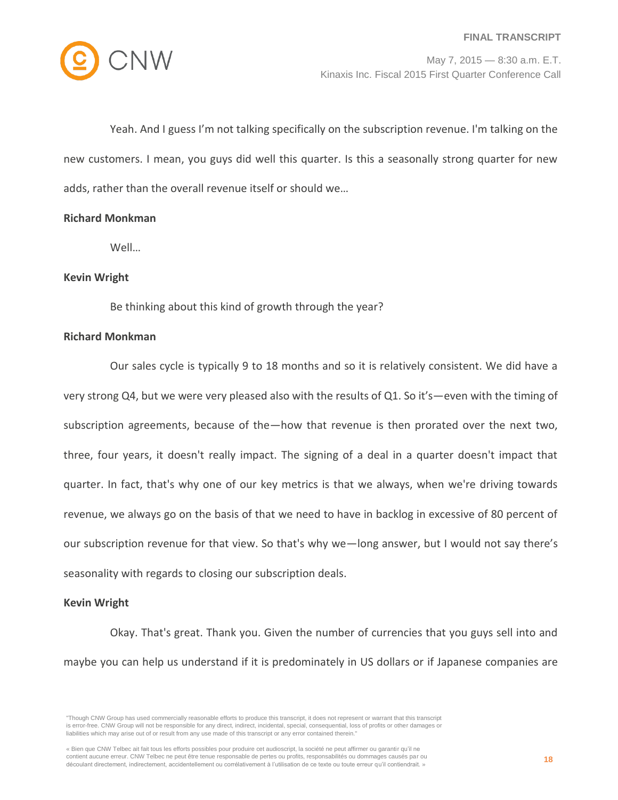

Yeah. And I guess I'm not talking specifically on the subscription revenue. I'm talking on the new customers. I mean, you guys did well this quarter. Is this a seasonally strong quarter for new adds, rather than the overall revenue itself or should we…

## **Richard Monkman**

Well…

## **Kevin Wright**

Be thinking about this kind of growth through the year?

## **Richard Monkman**

Our sales cycle is typically 9 to 18 months and so it is relatively consistent. We did have a very strong Q4, but we were very pleased also with the results of Q1. So it's—even with the timing of subscription agreements, because of the—how that revenue is then prorated over the next two, three, four years, it doesn't really impact. The signing of a deal in a quarter doesn't impact that quarter. In fact, that's why one of our key metrics is that we always, when we're driving towards revenue, we always go on the basis of that we need to have in backlog in excessive of 80 percent of our subscription revenue for that view. So that's why we—long answer, but I would not say there's seasonality with regards to closing our subscription deals.

## **Kevin Wright**

Okay. That's great. Thank you. Given the number of currencies that you guys sell into and maybe you can help us understand if it is predominately in US dollars or if Japanese companies are

<sup>&</sup>quot;Though CNW Group has used commercially reasonable efforts to produce this transcript, it does not represent or warrant that this transcript is error-free. CNW Group will not be responsible for any direct, indirect, incidental, special, consequential, loss of profits or other damages or liabilities which may arise out of or result from any use made of this transcript or any error contained therein."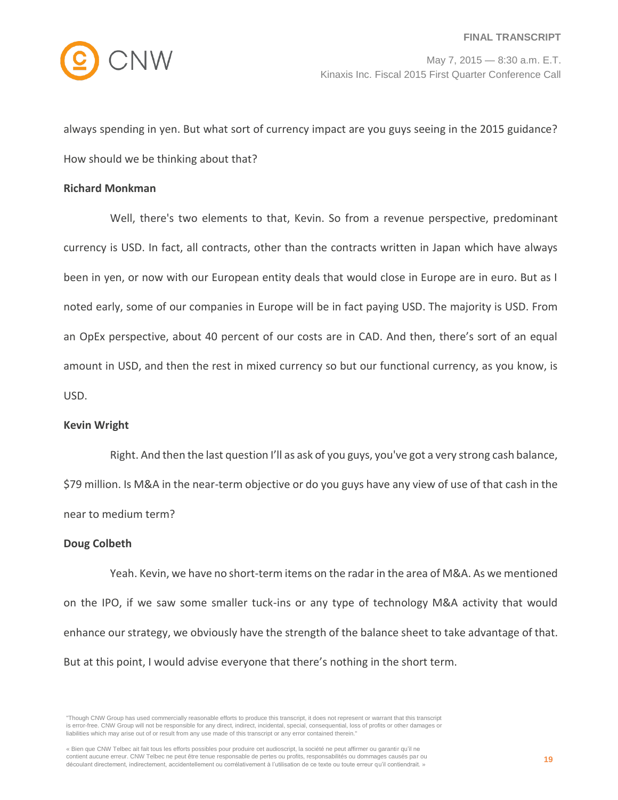

always spending in yen. But what sort of currency impact are you guys seeing in the 2015 guidance? How should we be thinking about that?

## **Richard Monkman**

Well, there's two elements to that, Kevin. So from a revenue perspective, predominant currency is USD. In fact, all contracts, other than the contracts written in Japan which have always been in yen, or now with our European entity deals that would close in Europe are in euro. But as I noted early, some of our companies in Europe will be in fact paying USD. The majority is USD. From an OpEx perspective, about 40 percent of our costs are in CAD. And then, there's sort of an equal amount in USD, and then the rest in mixed currency so but our functional currency, as you know, is USD.

## **Kevin Wright**

Right. And then the last question I'll as ask of you guys, you've got a very strong cash balance, \$79 million. Is M&A in the near-term objective or do you guys have any view of use of that cash in the near to medium term?

## **Doug Colbeth**

Yeah. Kevin, we have no short-term items on the radar in the area of M&A. As we mentioned on the IPO, if we saw some smaller tuck-ins or any type of technology M&A activity that would enhance our strategy, we obviously have the strength of the balance sheet to take advantage of that. But at this point, I would advise everyone that there's nothing in the short term.

<sup>&</sup>quot;Though CNW Group has used commercially reasonable efforts to produce this transcript, it does not represent or warrant that this transcript is error-free. CNW Group will not be responsible for any direct, indirect, incidental, special, consequential, loss of profits or other damages or liabilities which may arise out of or result from any use made of this transcript or any error contained therein."